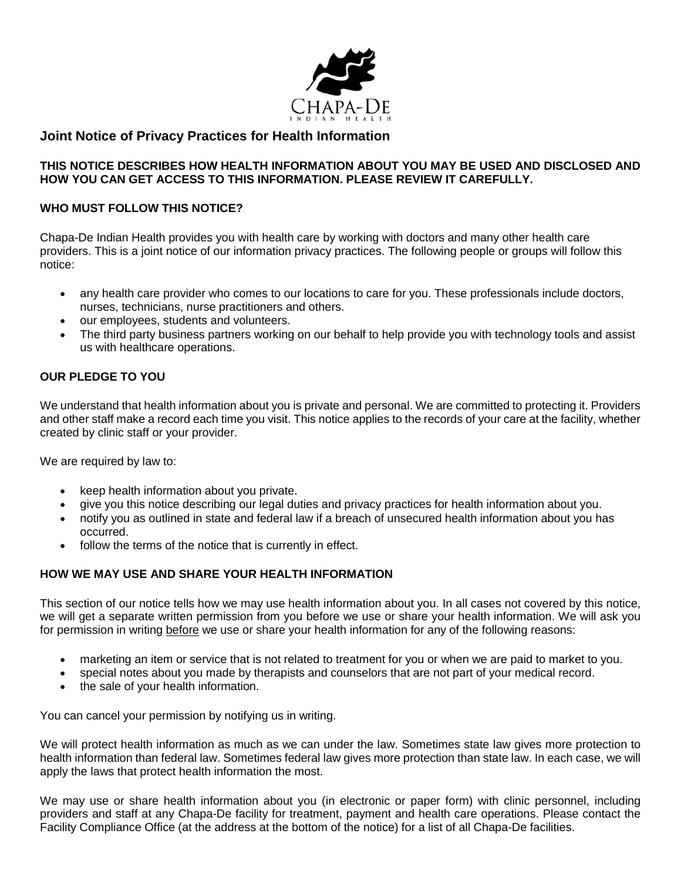

# **Joint Notice of Privacy Practices for Health Information**

#### **THIS NOTICE DESCRIBES HOW HEALTH INFORMATION ABOUT YOU MAY BE USED AND DISCLOSED AND HOW YOU CAN GET ACCESS TO THIS INFORMATION. PLEASE REVIEW IT CAREFULLY.**

### **WHO MUST FOLLOW THIS NOTICE?**

Chapa-De Indian Health provides you with health care by working with doctors and many other health care providers. This is a joint notice of our information privacy practices. The following people or groups will follow this notice:

- any health care provider who comes to our locations to care for you. These professionals include doctors, nurses, technicians, nurse practitioners and others.
- our employees, students and volunteers.
- The third party business partners working on our behalf to help provide you with technology tools and assist us with healthcare operations.

## **OUR PLEDGE TO YOU**

We understand that health information about you is private and personal. We are committed to protecting it. Providers and other staff make a record each time you visit. This notice applies to the records of your care at the facility, whether created by clinic staff or your provider.

We are required by law to:

- keep health information about you private.
- give you this notice describing our legal duties and privacy practices for health information about you.
- notify you as outlined in state and federal law if a breach of unsecured health information about you has occurred.
- follow the terms of the notice that is currently in effect.

### **HOW WE MAY USE AND SHARE YOUR HEALTH INFORMATION**

This section of our notice tells how we may use health information about you. In all cases not covered by this notice, we will get a separate written permission from you before we use or share your health information. We will ask you for permission in writing before we use or share your health information for any of the following reasons:

- marketing an item or service that is not related to treatment for you or when we are paid to market to you.
- special notes about you made by therapists and counselors that are not part of your medical record.
- the sale of your health information.

You can cancel your permission by notifying us in writing.

We will protect health information as much as we can under the law. Sometimes state law gives more protection to health information than federal law. Sometimes federal law gives more protection than state law. In each case, we will apply the laws that protect health information the most.

We may use or share health information about you (in electronic or paper form) with clinic personnel, including providers and staff at any Chapa-De facility for treatment, payment and health care operations. Please contact the Facility Compliance Office (at the address at the bottom of the notice) for a list of all Chapa-De facilities.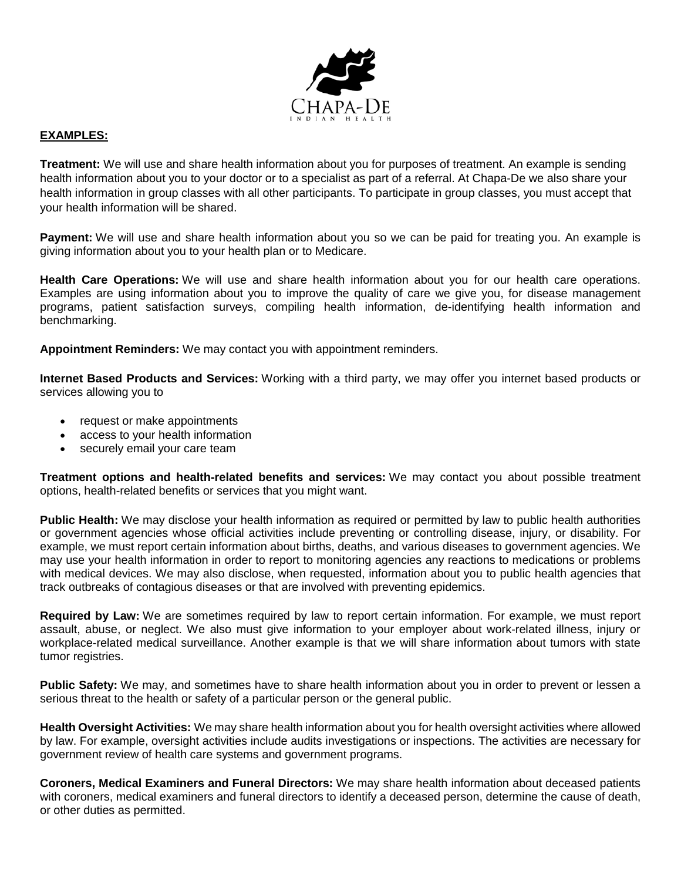

#### **EXAMPLES:**

**Treatment:** We will use and share health information about you for purposes of treatment. An example is sending health information about you to your doctor or to a specialist as part of a referral. At Chapa-De we also share your health information in group classes with all other participants. To participate in group classes, you must accept that your health information will be shared.

**Payment:** We will use and share health information about you so we can be paid for treating you. An example is giving information about you to your health plan or to Medicare.

**Health Care Operations:** We will use and share health information about you for our health care operations. Examples are using information about you to improve the quality of care we give you, for disease management programs, patient satisfaction surveys, compiling health information, de-identifying health information and benchmarking.

**Appointment Reminders:** We may contact you with appointment reminders.

**Internet Based Products and Services:** Working with a third party, we may offer you internet based products or services allowing you to

- request or make appointments
- access to your health information
- securely email your care team

**Treatment options and health-related benefits and services:** We may contact you about possible treatment options, health-related benefits or services that you might want.

**Public Health:** We may disclose your health information as required or permitted by law to public health authorities or government agencies whose official activities include preventing or controlling disease, injury, or disability. For example, we must report certain information about births, deaths, and various diseases to government agencies. We may use your health information in order to report to monitoring agencies any reactions to medications or problems with medical devices. We may also disclose, when requested, information about you to public health agencies that track outbreaks of contagious diseases or that are involved with preventing epidemics.

**Required by Law:** We are sometimes required by law to report certain information. For example, we must report assault, abuse, or neglect. We also must give information to your employer about work-related illness, injury or workplace-related medical surveillance. Another example is that we will share information about tumors with state tumor registries.

**Public Safety:** We may, and sometimes have to share health information about you in order to prevent or lessen a serious threat to the health or safety of a particular person or the general public.

**Health Oversight Activities:** We may share health information about you for health oversight activities where allowed by law. For example, oversight activities include audits investigations or inspections. The activities are necessary for government review of health care systems and government programs.

**Coroners, Medical Examiners and Funeral Directors:** We may share health information about deceased patients with coroners, medical examiners and funeral directors to identify a deceased person, determine the cause of death, or other duties as permitted.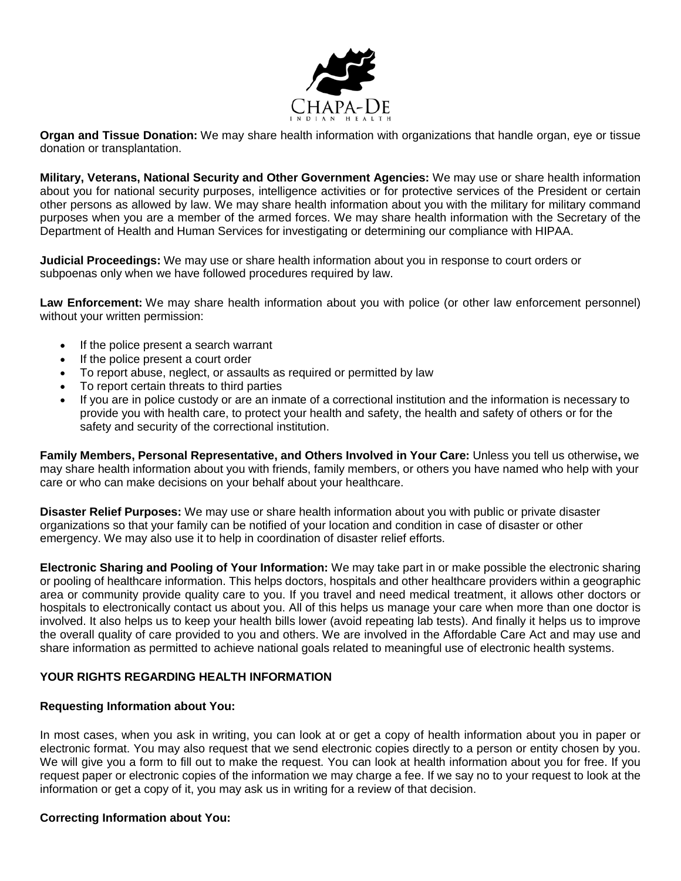

**Organ and Tissue Donation:** We may share health information with organizations that handle organ, eye or tissue donation or transplantation.

**Military, Veterans, National Security and Other Government Agencies:** We may use or share health information about you for national security purposes, intelligence activities or for protective services of the President or certain other persons as allowed by law. We may share health information about you with the military for military command purposes when you are a member of the armed forces. We may share health information with the Secretary of the Department of Health and Human Services for investigating or determining our compliance with HIPAA.

**Judicial Proceedings:** We may use or share health information about you in response to court orders or subpoenas only when we have followed procedures required by law.

**Law Enforcement:** We may share health information about you with police (or other law enforcement personnel) without your written permission:

- If the police present a search warrant
- If the police present a court order
- To report abuse, neglect, or assaults as required or permitted by law
- To report certain threats to third parties
- If you are in police custody or are an inmate of a correctional institution and the information is necessary to provide you with health care, to protect your health and safety, the health and safety of others or for the safety and security of the correctional institution.

**Family Members, Personal Representative, and Others Involved in Your Care:** Unless you tell us otherwise**,** we may share health information about you with friends, family members, or others you have named who help with your care or who can make decisions on your behalf about your healthcare.

**Disaster Relief Purposes:** We may use or share health information about you with public or private disaster organizations so that your family can be notified of your location and condition in case of disaster or other emergency. We may also use it to help in coordination of disaster relief efforts.

**Electronic Sharing and Pooling of Your Information:** We may take part in or make possible the electronic sharing or pooling of healthcare information. This helps doctors, hospitals and other healthcare providers within a geographic area or community provide quality care to you. If you travel and need medical treatment, it allows other doctors or hospitals to electronically contact us about you. All of this helps us manage your care when more than one doctor is involved. It also helps us to keep your health bills lower (avoid repeating lab tests). And finally it helps us to improve the overall quality of care provided to you and others. We are involved in the Affordable Care Act and may use and share information as permitted to achieve national goals related to meaningful use of electronic health systems.

### **YOUR RIGHTS REGARDING HEALTH INFORMATION**

#### **Requesting Information about You:**

In most cases, when you ask in writing, you can look at or get a copy of health information about you in paper or electronic format. You may also request that we send electronic copies directly to a person or entity chosen by you. We will give you a form to fill out to make the request. You can look at health information about you for free. If you request paper or electronic copies of the information we may charge a fee. If we say no to your request to look at the information or get a copy of it, you may ask us in writing for a review of that decision.

#### **Correcting Information about You:**